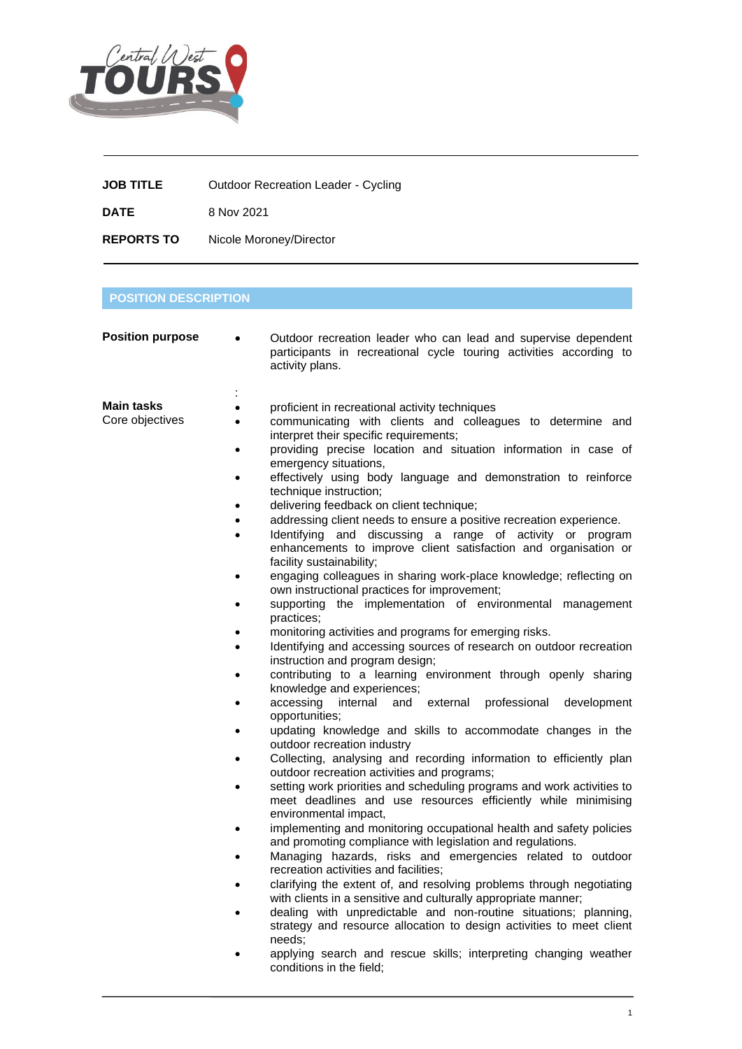

| <b>JOB TITLE</b>  | <b>Outdoor Recreation Leader - Cycling</b> |
|-------------------|--------------------------------------------|
| <b>DATE</b>       | 8 Nov 2021                                 |
| <b>REPORTS TO</b> | Nicole Moroney/Director                    |

## **POSITION DESCRIPTION**

| <b>Position purpose</b>                                                     | Outdoor recreation leader who can lead and supervise dependent<br>participants in recreational cycle touring activities according to<br>activity plans.                                                                                                                     |
|-----------------------------------------------------------------------------|-----------------------------------------------------------------------------------------------------------------------------------------------------------------------------------------------------------------------------------------------------------------------------|
| <b>Main tasks</b><br>$\bullet$<br>Core objectives<br>$\bullet$<br>$\bullet$ | proficient in recreational activity techniques<br>communicating with clients and colleagues to determine and<br>interpret their specific requirements;<br>providing precise location and situation information in case of<br>emergency situations,                          |
|                                                                             | effectively using body language and demonstration to reinforce<br>technique instruction;                                                                                                                                                                                    |
| $\bullet$<br>$\bullet$                                                      | delivering feedback on client technique;<br>addressing client needs to ensure a positive recreation experience.<br>Identifying and discussing a range of activity or program<br>enhancements to improve client satisfaction and organisation or<br>facility sustainability; |
| $\bullet$                                                                   | engaging colleagues in sharing work-place knowledge; reflecting on<br>own instructional practices for improvement;                                                                                                                                                          |
|                                                                             | supporting the implementation of environmental management<br>practices;                                                                                                                                                                                                     |
| $\bullet$                                                                   | monitoring activities and programs for emerging risks.<br>Identifying and accessing sources of research on outdoor recreation<br>instruction and program design;                                                                                                            |
|                                                                             | contributing to a learning environment through openly sharing<br>knowledge and experiences;                                                                                                                                                                                 |
| $\bullet$                                                                   | accessing<br>internal<br>professional<br>and<br>external<br>development<br>opportunities;                                                                                                                                                                                   |
|                                                                             | updating knowledge and skills to accommodate changes in the<br>outdoor recreation industry                                                                                                                                                                                  |
|                                                                             | Collecting, analysing and recording information to efficiently plan<br>outdoor recreation activities and programs;                                                                                                                                                          |
|                                                                             | setting work priorities and scheduling programs and work activities to<br>meet deadlines and use resources efficiently while minimising<br>environmental impact,                                                                                                            |
|                                                                             | implementing and monitoring occupational health and safety policies<br>and promoting compliance with legislation and regulations.                                                                                                                                           |
|                                                                             | Managing hazards, risks and emergencies related to outdoor<br>recreation activities and facilities;                                                                                                                                                                         |
|                                                                             | clarifying the extent of, and resolving problems through negotiating<br>with clients in a sensitive and culturally appropriate manner;<br>dealing with unpredictable and non-routine situations; planning,                                                                  |
|                                                                             | strategy and resource allocation to design activities to meet client<br>needs:                                                                                                                                                                                              |
|                                                                             | applying search and rescue skills; interpreting changing weather<br>conditions in the field;                                                                                                                                                                                |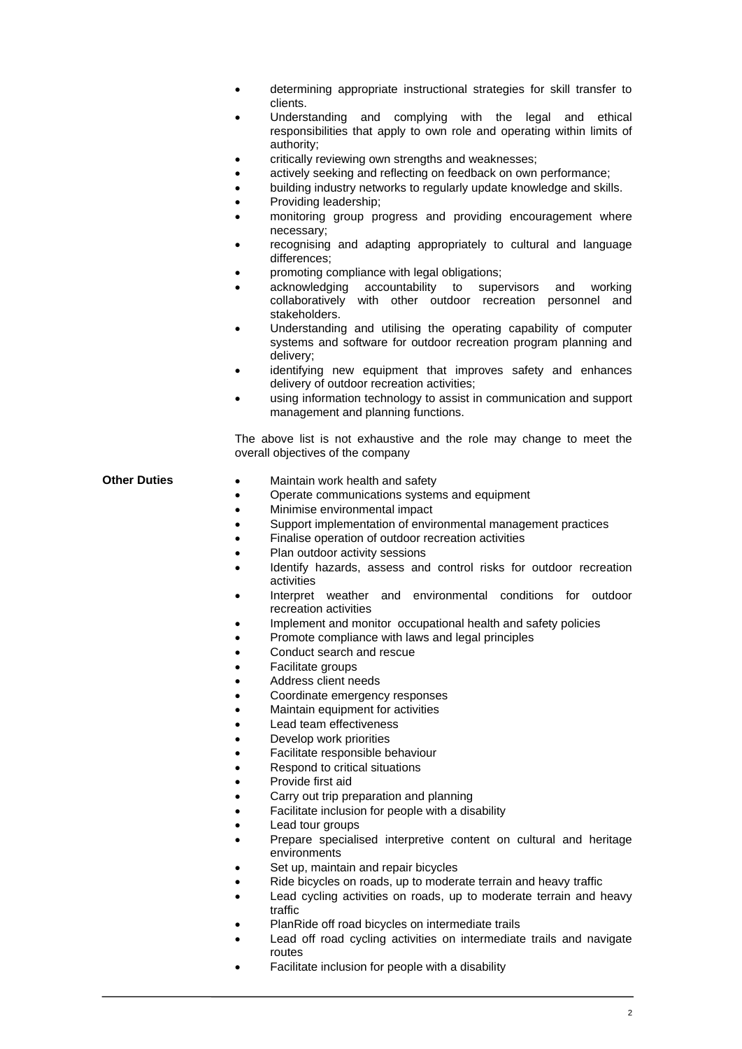- determining appropriate instructional strategies for skill transfer to clients.
- Understanding and complying with the legal and ethical responsibilities that apply to own role and operating within limits of authority;
- critically reviewing own strengths and weaknesses;
- actively seeking and reflecting on feedback on own performance;
- building industry networks to regularly update knowledge and skills.
- Providing leadership;
- monitoring group progress and providing encouragement where necessary;
- recognising and adapting appropriately to cultural and language differences;
- promoting compliance with legal obligations;
- acknowledging accountability to supervisors and working collaboratively with other outdoor recreation personnel and stakeholders.
- Understanding and utilising the operating capability of computer systems and software for outdoor recreation program planning and delivery;
- identifying new equipment that improves safety and enhances delivery of outdoor recreation activities;
- using information technology to assist in communication and support management and planning functions.

The above list is not exhaustive and the role may change to meet the overall objectives of the company

- **Other Duties** Maintain work health and safety
	- Operate communications systems and equipment
	- Minimise environmental impact
	- Support implementation of environmental management practices
	- Finalise operation of outdoor recreation activities
	- Plan outdoor activity sessions
	- Identify hazards, assess and control risks for outdoor recreation activities
	- Interpret weather and environmental conditions for outdoor recreation activities
	- Implement and monitor occupational health and safety policies
	- Promote compliance with laws and legal principles
	- Conduct search and rescue
	- Facilitate groups
	- Address client needs
	- Coordinate emergency responses
	- Maintain equipment for activities
	- Lead team effectiveness
	- Develop work priorities
	- Facilitate responsible behaviour
	- Respond to critical situations
	- Provide first aid
	- Carry out trip preparation and planning
	- Facilitate inclusion for people with a disability
	- Lead tour groups
	- Prepare specialised interpretive content on cultural and heritage environments
	- Set up, maintain and repair bicycles
	- Ride bicycles on roads, up to moderate terrain and heavy traffic
	- Lead cycling activities on roads, up to moderate terrain and heavy traffic
	- PlanRide off road bicycles on intermediate trails
	- Lead off road cycling activities on intermediate trails and navigate routes
	- Facilitate inclusion for people with a disability